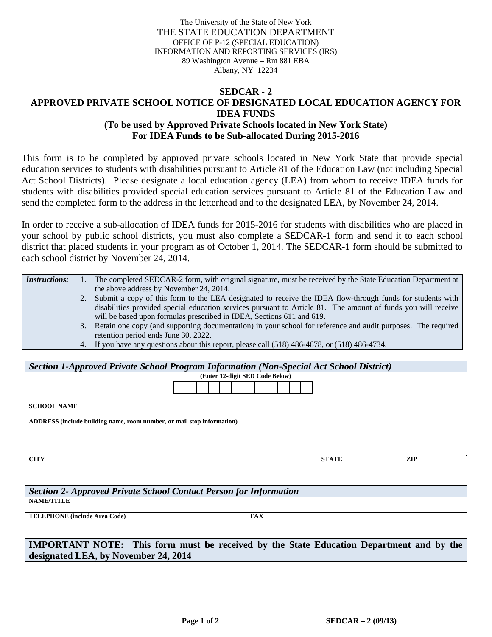The University of the State of New York THE STATE EDUCATION DEPARTMENT OFFICE OF P-12 (SPECIAL EDUCATION) INFORMATION AND REPORTING SERVICES (IRS) 89 Washington Avenue – Rm 881 EBA Albany, NY 12234

## **SEDCAR - 2 APPROVED PRIVATE SCHOOL NOTICE OF DESIGNATED LOCAL EDUCATION AGENCY FOR IDEA FUNDS (To be used by Approved Private Schools located in New York State) For IDEA Funds to be Sub-allocated During 2015-2016**

This form is to be completed by approved private schools located in New York State that provide special education services to students with disabilities pursuant to Article 81 of the Education Law (not including Special Act School Districts). Please designate a local education agency (LEA) from whom to receive IDEA funds for students with disabilities provided special education services pursuant to Article 81 of the Education Law and send the completed form to the address in the letterhead and to the designated LEA, by November 24, 2014.

In order to receive a sub-allocation of IDEA funds for 2015-2016 for students with disabilities who are placed in your school by public school districts, you must also complete a SEDCAR-1 form and send it to each school district that placed students in your program as of October 1, 2014. The SEDCAR-1 form should be submitted to each school district by November 24, 2014.

| <i>Instructions:</i> |    | The completed SEDCAR-2 form, with original signature, must be received by the State Education Department at   |
|----------------------|----|---------------------------------------------------------------------------------------------------------------|
|                      |    | the above address by November 24, 2014.                                                                       |
|                      |    | 2. Submit a copy of this form to the LEA designated to receive the IDEA flow-through funds for students with  |
|                      |    | disabilities provided special education services pursuant to Article 81. The amount of funds you will receive |
|                      |    | will be based upon formulas prescribed in IDEA, Sections 611 and 619.                                         |
|                      | 3. | Retain one copy (and supporting documentation) in your school for reference and audit purposes. The required  |
|                      |    | retention period ends June 30, 2022.                                                                          |
|                      |    | 4. If you have any questions about this report, please call (518) 486-4678, or (518) 486-4734.                |

| Section 1-Approved Private School Program Information (Non-Special Act School District) |              |     |  |  |  |  |  |
|-----------------------------------------------------------------------------------------|--------------|-----|--|--|--|--|--|
| (Enter 12-digit SED Code Below)                                                         |              |     |  |  |  |  |  |
|                                                                                         |              |     |  |  |  |  |  |
| <b>SCHOOL NAME</b>                                                                      |              |     |  |  |  |  |  |
| ADDRESS (include building name, room number, or mail stop information)                  |              |     |  |  |  |  |  |
|                                                                                         |              |     |  |  |  |  |  |
| <b>CITY</b>                                                                             | <b>STATE</b> | ZIP |  |  |  |  |  |

| Section 2- Approved Private School Contact Person for Information |            |  |  |  |  |
|-------------------------------------------------------------------|------------|--|--|--|--|
| <b>NAME/TITLE</b>                                                 |            |  |  |  |  |
| <b>TELEPHONE</b> (include Area Code)                              | <b>FAX</b> |  |  |  |  |
|                                                                   |            |  |  |  |  |

**IMPORTANT NOTE: This form must be received by the State Education Department and by the designated LEA, by November 24, 2014**